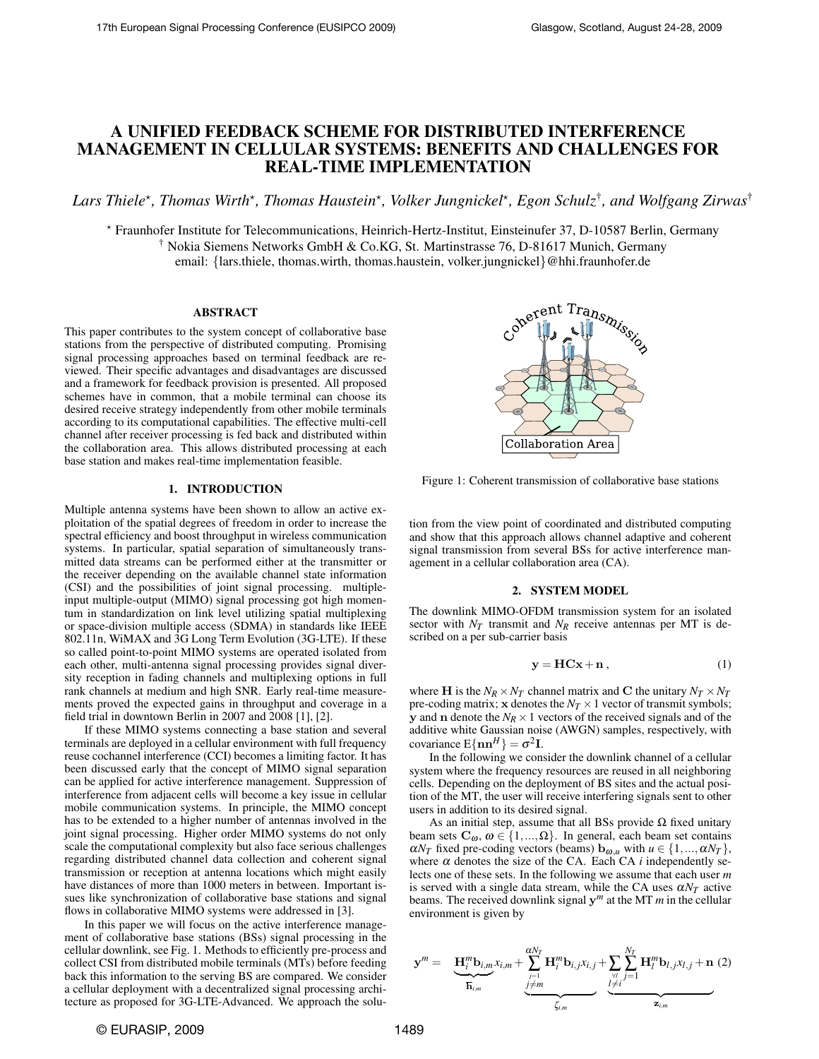# A UNIFIED FEEDBACK SCHEME FOR DISTRIBUTED INTERFERENCE MANAGEMENT IN CELLULAR SYSTEMS: BENEFITS AND CHALLENGES FOR REAL-TIME IMPLEMENTATION

 $L$ ars Thiele\*, Thomas Wirth\*, Thomas Haustein\*, Volker Jungnickel\*, Egon Schulz<sup>†</sup>, and Wolfgang Zirwas<sup>†</sup>

? Fraunhofer Institute for Telecommunications, Heinrich-Hertz-Institut, Einsteinufer 37, D-10587 Berlin, Germany † Nokia Siemens Networks GmbH & Co.KG, St. Martinstrasse 76, D-81617 Munich, Germany email: {lars.thiele, thomas.wirth, thomas.haustein, volker.jungnickel}@hhi.fraunhofer.de

#### ABSTRACT

This paper contributes to the system concept of collaborative base stations from the perspective of distributed computing. Promising signal processing approaches based on terminal feedback are reviewed. Their specific advantages and disadvantages are discussed and a framework for feedback provision is presented. All proposed schemes have in common, that a mobile terminal can choose its desired receive strategy independently from other mobile terminals according to its computational capabilities. The effective multi-cell channel after receiver processing is fed back and distributed within the collaboration area. This allows distributed processing at each base station and makes real-time implementation feasible.

### 1. INTRODUCTION

Multiple antenna systems have been shown to allow an active exploitation of the spatial degrees of freedom in order to increase the spectral efficiency and boost throughput in wireless communication systems. In particular, spatial separation of simultaneously transmitted data streams can be performed either at the transmitter or the receiver depending on the available channel state information (CSI) and the possibilities of joint signal processing. multipleinput multiple-output (MIMO) signal processing got high momentum in standardization on link level utilizing spatial multiplexing or space-division multiple access (SDMA) in standards like IEEE 802.11n, WiMAX and 3G Long Term Evolution (3G-LTE). If these so called point-to-point MIMO systems are operated isolated from each other, multi-antenna signal processing provides signal diversity reception in fading channels and multiplexing options in full rank channels at medium and high SNR. Early real-time measurements proved the expected gains in throughput and coverage in a field trial in downtown Berlin in 2007 and 2008 [1], [2].

If these MIMO systems connecting a base station and several terminals are deployed in a cellular environment with full frequency reuse cochannel interference (CCI) becomes a limiting factor. It has been discussed early that the concept of MIMO signal separation can be applied for active interference management. Suppression of interference from adjacent cells will become a key issue in cellular mobile communication systems. In principle, the MIMO concept has to be extended to a higher number of antennas involved in the joint signal processing. Higher order MIMO systems do not only scale the computational complexity but also face serious challenges regarding distributed channel data collection and coherent signal transmission or reception at antenna locations which might easily have distances of more than 1000 meters in between. Important issues like synchronization of collaborative base stations and signal flows in collaborative MIMO systems were addressed in [3].

In this paper we will focus on the active interference management of collaborative base stations (BSs) signal processing in the cellular downlink, see Fig. 1. Methods to efficiently pre-process and collect CSI from distributed mobile terminals (MTs) before feeding back this information to the serving BS are compared. We consider a cellular deployment with a decentralized signal processing architecture as proposed for 3G-LTE-Advanced. We approach the solu-



Figure 1: Coherent transmission of collaborative base stations

tion from the view point of coordinated and distributed computing and show that this approach allows channel adaptive and coherent signal transmission from several BSs for active interference management in a cellular collaboration area (CA).

### 2. SYSTEM MODEL

The downlink MIMO-OFDM transmission system for an isolated sector with  $N_T$  transmit and  $N_R$  receive antennas per MT is described on a per sub-carrier basis

$$
y = HCx + n, \tag{1}
$$

where **H** is the  $N_R \times N_T$  channel matrix and **C** the unitary  $N_T \times N_T$ pre-coding matrix; **x** denotes the  $N_T \times 1$  vector of transmit symbols; **y** and **n** denote the  $N_R \times 1$  vectors of the received signals and of the additive white Gaussian noise (AWGN) samples, respectively, with covariance  $E\{\mathbf{n}\mathbf{n}^H\} = \sigma^2 \mathbf{I}$ .

In the following we consider the downlink channel of a cellular system where the frequency resources are reused in all neighboring cells. Depending on the deployment of BS sites and the actual position of the MT, the user will receive interfering signals sent to other users in addition to its desired signal.

As an initial step, assume that all BSs provide  $\Omega$  fixed unitary beam sets  $C_{\omega}, \omega \in \{1, ..., \Omega\}$ . In general, each beam set contains  $\alpha N_T$  fixed pre-coding vectors (beams)  $\mathbf{b}_{\omega,u}$  with  $u \in \{1, ..., \alpha N_T\}$ , where  $\alpha$  denotes the size of the CA. Each CA *i* independently selects one of these sets. In the following we assume that each user *m* is served with a single data stream, while the CA uses  $\alpha N_T$  active beams. The received downlink signal y *<sup>m</sup>* at the MT *m* in the cellular environment is given by

$$
\mathbf{y}^m = \underbrace{\mathbf{H}_i^m \mathbf{b}_{i,m} x_{i,m}}_{\overline{\mathbf{h}}_{i,m}} + \underbrace{\sum_{j=1 \atop j \neq m}^{aN_T} \mathbf{H}_i^m \mathbf{b}_{i,j} x_{i,j}}_{\zeta_{i,m}} + \underbrace{\sum_{\substack{V \\ V \\ l \neq i}}^{N_T} \sum_{j=1}^{H^n_l} \mathbf{H}_l^m \mathbf{b}_{l,j} x_{l,j}}_{\mathbf{z}_{i,m}} + \mathbf{n} \tag{2}
$$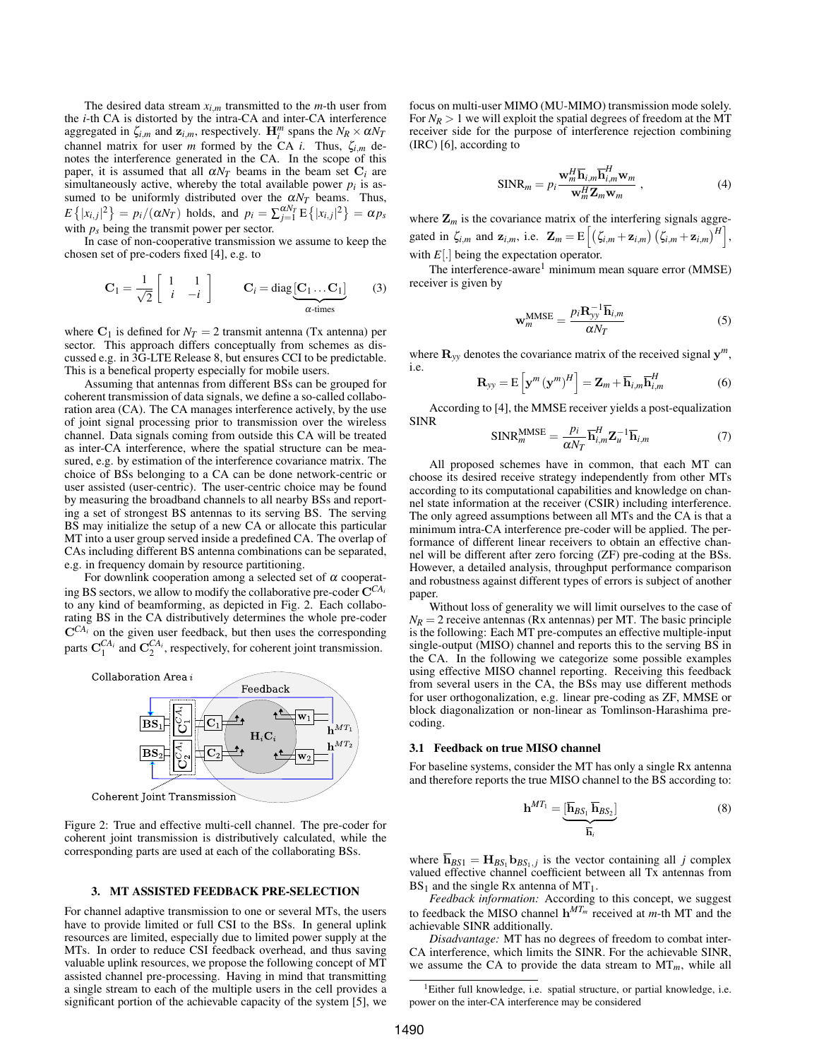The desired data stream  $x_{i,m}$  transmitted to the  $m$ -th user from the *i*-th CA is distorted by the intra-CA and inter-CA interference aggregated in  $\zeta_{i,m}$  and  $\mathbf{z}_{i,m}$ , respectively.  $\mathbf{H}_i^m$  spans the  $N_R \times \alpha N_T$ channel matrix for user *m* formed by the CA *i*. Thus, ζ*i*,*m* denotes the interference generated in the CA. In the scope of this paper, it is assumed that all  $\alpha N_T$  beams in the beam set  $C_i$  are simultaneously active, whereby the total available power  $p_i$  is assumed to be uniformly distributed over the  $\alpha N_T$  beams. Thus,  $E\{|x_{i,j}|^2\} = p_i/(\alpha N_T)$  holds, and  $p_i = \sum_{j=1}^{\alpha N_T} E\{|x_{i,j}|^2\} = \alpha p_s$ with  $p_s$  being the transmit power per sector.

In case of non-cooperative transmission we assume to keep the chosen set of pre-coders fixed [4], e.g. to

$$
\mathbf{C}_1 = \frac{1}{\sqrt{2}} \begin{bmatrix} 1 & 1 \\ i & -i \end{bmatrix} \qquad \mathbf{C}_i = \text{diag} \underbrace{\begin{bmatrix} \mathbf{C}_1 \dots \mathbf{C}_1 \end{bmatrix}}_{\alpha \text{-times}} \qquad (3)
$$

where  $C_1$  is defined for  $N_T = 2$  transmit antenna (Tx antenna) per sector. This approach differs conceptually from schemes as discussed e.g. in 3G-LTE Release 8, but ensures CCI to be predictable. This is a benefical property especially for mobile users.

Assuming that antennas from different BSs can be grouped for coherent transmission of data signals, we define a so-called collaboration area (CA). The CA manages interference actively, by the use of joint signal processing prior to transmission over the wireless channel. Data signals coming from outside this CA will be treated as inter-CA interference, where the spatial structure can be measured, e.g. by estimation of the interference covariance matrix. The choice of BSs belonging to a CA can be done network-centric or user assisted (user-centric). The user-centric choice may be found by measuring the broadband channels to all nearby BSs and reporting a set of strongest BS antennas to its serving BS. The serving BS may initialize the setup of a new CA or allocate this particular MT into a user group served inside a predefined CA. The overlap of CAs including different BS antenna combinations can be separated, e.g. in frequency domain by resource partitioning.

For downlink cooperation among a selected set of  $\alpha$  cooperating BS sectors, we allow to modify the collaborative pre-coder  $C^{CA_i}$ to any kind of beamforming, as depicted in Fig. 2. Each collaborating BS in the CA distributively determines the whole pre-coder  $\mathbf{C}^{CA_i}$  on the given user feedback, but then uses the corresponding parts  $\mathbf{C}_1^{CA_i}$  and  $\mathbf{C}_2^{CA_i}$ , respectively, for coherent joint transmission.



Figure 2: True and effective multi-cell channel. The pre-coder for coherent joint transmission is distributively calculated, while the corresponding parts are used at each of the collaborating BSs.

### 3. MT ASSISTED FEEDBACK PRE-SELECTION

For channel adaptive transmission to one or several MTs, the users have to provide limited or full CSI to the BSs. In general uplink resources are limited, especially due to limited power supply at the MTs. In order to reduce CSI feedback overhead, and thus saving valuable uplink resources, we propose the following concept of MT assisted channel pre-processing. Having in mind that transmitting a single stream to each of the multiple users in the cell provides a significant portion of the achievable capacity of the system [5], we focus on multi-user MIMO (MU-MIMO) transmission mode solely. For  $N_R > 1$  we will exploit the spatial degrees of freedom at the MT receiver side for the purpose of interference rejection combining (IRC) [6], according to

$$
SINR_m = p_i \frac{\mathbf{w}_m^H \overline{\mathbf{h}}_{i,m} \overline{\mathbf{h}}_{i,m}^H \mathbf{w}_m}{\mathbf{w}_m^H \mathbf{Z}_m \mathbf{w}_m},
$$
(4)

where  $\mathbf{Z}_m$  is the covariance matrix of the interfering signals aggregated in  $\zeta_{i,m}$  and  $\mathbf{z}_{i,m}$ , i.e.  $\mathbf{Z}_m = \mathrm{E}\left[\left(\zeta_{i,m} + \mathbf{z}_{i,m}\right)\left(\zeta_{i,m} + \mathbf{z}_{i,m}\right)^H\right]$ , with *E*[.] being the expectation operator.

The interference-aware<sup>1</sup> minimum mean square error  $(MMSE)$ receiver is given by

$$
\mathbf{w}_{m}^{\mathrm{MMSE}} = \frac{p_{i} \mathbf{R}_{yy}^{-1} \overline{\mathbf{h}}_{i,m}}{\alpha N_{T}}
$$
(5)

where  $\mathbf{R}_{yy}$  denotes the covariance matrix of the received signal  $\mathbf{y}^m$ , i.e.

$$
\mathbf{R}_{yy} = \mathbf{E}\left[\mathbf{y}^m (\mathbf{y}^m)^H\right] = \mathbf{Z}_m + \overline{\mathbf{h}}_{i,m} \overline{\mathbf{h}}_{i,m}^H
$$
 (6)

According to [4], the MMSE receiver yields a post-equalization SINR

$$
\text{SINR}_{m}^{\text{MMSE}} = \frac{p_i}{\alpha N_T} \overline{\mathbf{h}}_{i,m}^H \mathbf{Z}_u^{-1} \overline{\mathbf{h}}_{i,m}
$$
(7)

All proposed schemes have in common, that each MT can choose its desired receive strategy independently from other MTs according to its computational capabilities and knowledge on channel state information at the receiver (CSIR) including interference. The only agreed assumptions between all MTs and the CA is that a minimum intra-CA interference pre-coder will be applied. The performance of different linear receivers to obtain an effective channel will be different after zero forcing (ZF) pre-coding at the BSs. However, a detailed analysis, throughput performance comparison and robustness against different types of errors is subject of another paper.

Without loss of generality we will limit ourselves to the case of  $N_R = 2$  receive antennas (Rx antennas) per MT. The basic principle is the following: Each MT pre-computes an effective multiple-input single-output (MISO) channel and reports this to the serving BS in the CA. In the following we categorize some possible examples using effective MISO channel reporting. Receiving this feedback from several users in the CA, the BSs may use different methods for user orthogonalization, e.g. linear pre-coding as ZF, MMSE or block diagonalization or non-linear as Tomlinson-Harashima precoding.

### 3.1 Feedback on true MISO channel

For baseline systems, consider the MT has only a single Rx antenna and therefore reports the true MISO channel to the BS according to:

$$
\mathbf{h}^{MT_1} = \underbrace{[\overline{\mathbf{h}}_{BS_1} \overline{\mathbf{h}}_{BS_2}]}_{\overline{\mathbf{h}}_i} \tag{8}
$$

where  $h_{BS1} = H_{BS_1} h_{BS_1,j}$  is the vector containing all *j* complex valued effective channel coefficient between all Tx antennas from  $BS_1$  and the single Rx antenna of MT<sub>1</sub>.

*Feedback information:* According to this concept, we suggest to feedback the MISO channel  $h^{MT_m}$  received at *m*-th MT and the achievable SINR additionally.

*Disadvantage:* MT has no degrees of freedom to combat inter-CA interference, which limits the SINR. For the achievable SINR, we assume the CA to provide the data stream to  $MT_m$ , while all

<sup>&</sup>lt;sup>1</sup>Either full knowledge, i.e. spatial structure, or partial knowledge, i.e. power on the inter-CA interference may be considered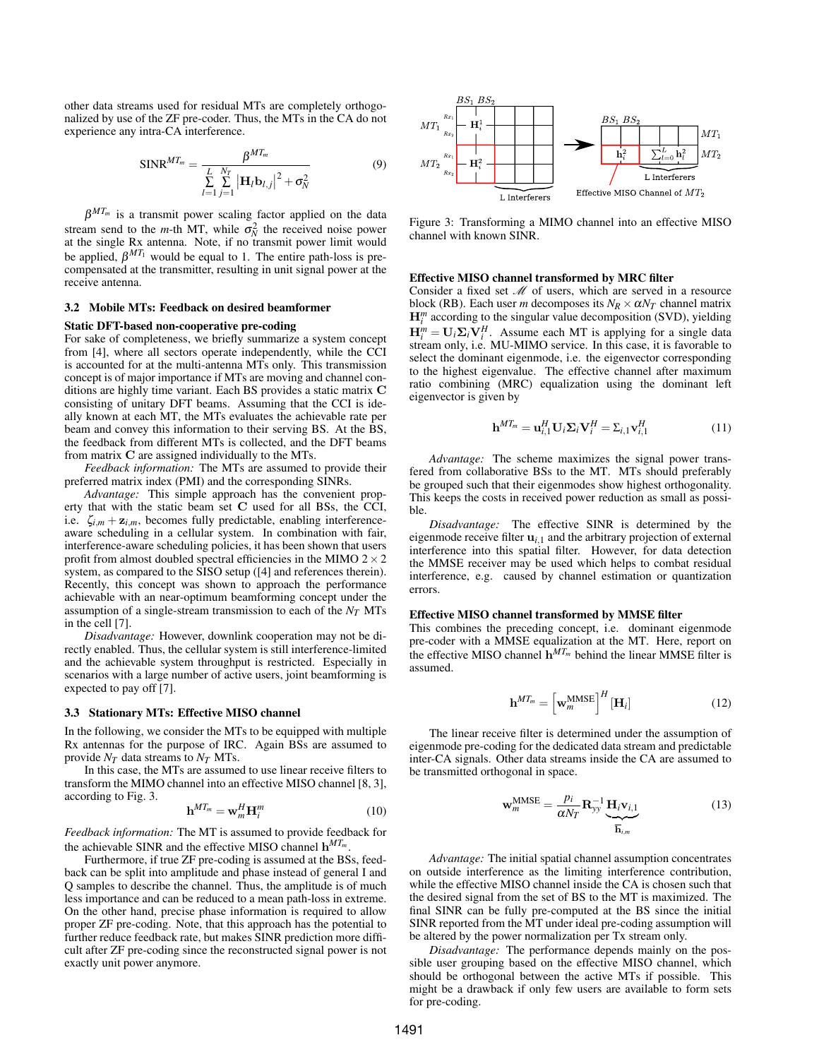other data streams used for residual MTs are completely orthogonalized by use of the ZF pre-coder. Thus, the MTs in the CA do not experience any intra-CA interference.

$$
SINR^{MT_m} = \frac{\beta^{MT_m}}{\sum_{l=1}^{L} \sum_{j=1}^{N_T} |\mathbf{H}_l \mathbf{b}_{l,j}|^2 + \sigma_N^2}
$$
(9)

 $\beta^{MT_m}$  is a transmit power scaling factor applied on the data stream send to the *m*-th MT, while  $\sigma_N^2$  the received noise power at the single Rx antenna. Note, if no transmit power limit would be applied,  $\beta^{MT_1}$  would be equal to 1. The entire path-loss is precompensated at the transmitter, resulting in unit signal power at the receive antenna.

### 3.2 Mobile MTs: Feedback on desired beamformer

#### Static DFT-based non-cooperative pre-coding

For sake of completeness, we briefly summarize a system concept from [4], where all sectors operate independently, while the CCI is accounted for at the multi-antenna MTs only. This transmission concept is of major importance if MTs are moving and channel conditions are highly time variant. Each BS provides a static matrix C consisting of unitary DFT beams. Assuming that the CCI is ideally known at each MT, the MTs evaluates the achievable rate per beam and convey this information to their serving BS. At the BS, the feedback from different MTs is collected, and the DFT beams from matrix C are assigned individually to the MTs.

*Feedback information:* The MTs are assumed to provide their preferred matrix index (PMI) and the corresponding SINRs.

*Advantage:* This simple approach has the convenient property that with the static beam set C used for all BSs, the CCI, i.e.  $\zeta_{i,m} + \mathbf{z}_{i,m}$ , becomes fully predictable, enabling interferenceaware scheduling in a cellular system. In combination with fair, interference-aware scheduling policies, it has been shown that users profit from almost doubled spectral efficiencies in the MIMO  $2 \times 2$ system, as compared to the SISO setup ([4] and references therein). Recently, this concept was shown to approach the performance achievable with an near-optimum beamforming concept under the assumption of a single-stream transmission to each of the *NT* MTs in the cell [7].

*Disadvantage:* However, downlink cooperation may not be directly enabled. Thus, the cellular system is still interference-limited and the achievable system throughput is restricted. Especially in scenarios with a large number of active users, joint beamforming is expected to pay off [7].

## 3.3 Stationary MTs: Effective MISO channel

In the following, we consider the MTs to be equipped with multiple Rx antennas for the purpose of IRC. Again BSs are assumed to provide *NT* data streams to *NT* MTs.

In this case, the MTs are assumed to use linear receive filters to transform the MIMO channel into an effective MISO channel [8, 3], according to Fig. 3.

$$
\mathbf{h}^{MT_m} = \mathbf{w}_m^H \mathbf{H}_i^m \tag{10}
$$

*Feedback information:* The MT is assumed to provide feedback for the achievable SINR and the effective MISO channel h *MT<sup>m</sup>* .

Furthermore, if true ZF pre-coding is assumed at the BSs, feedback can be split into amplitude and phase instead of general I and Q samples to describe the channel. Thus, the amplitude is of much less importance and can be reduced to a mean path-loss in extreme. On the other hand, precise phase information is required to allow proper ZF pre-coding. Note, that this approach has the potential to further reduce feedback rate, but makes SINR prediction more difficult after ZF pre-coding since the reconstructed signal power is not exactly unit power anymore.



Figure 3: Transforming a MIMO channel into an effective MISO channel with known SINR.

### Effective MISO channel transformed by MRC filter

Consider a fixed set  $M$  of users, which are served in a resource block (RB). Each user *m* decomposes its  $N_R \times \alpha N_T$  channel matrix  $\mathbf{H}_{i}^{m}$  according to the singular value decomposition (SVD), yielding  $\mathbf{H}_{i}^{m} = \mathbf{U}_{i} \Sigma_{i} \mathbf{V}_{i}^{H}$ . Assume each MT is applying for a single data stream only, i.e. MU-MIMO service. In this case, it is favorable to select the dominant eigenmode, i.e. the eigenvector corresponding to the highest eigenvalue. The effective channel after maximum ratio combining (MRC) equalization using the dominant left eigenvector is given by

$$
\mathbf{h}^{MT_m} = \mathbf{u}_{i,1}^H \mathbf{U}_i \mathbf{\Sigma}_i \mathbf{V}_i^H = \Sigma_{i,1} \mathbf{v}_{i,1}^H
$$
 (11)

*Advantage:* The scheme maximizes the signal power transfered from collaborative BSs to the MT. MTs should preferably be grouped such that their eigenmodes show highest orthogonality. This keeps the costs in received power reduction as small as possible.

*Disadvantage:* The effective SINR is determined by the eigenmode receive filter  $\mathbf{u}_{i,1}$  and the arbitrary projection of external interference into this spatial filter. However, for data detection the MMSE receiver may be used which helps to combat residual interference, e.g. caused by channel estimation or quantization errors.

### Effective MISO channel transformed by MMSE filter

This combines the preceding concept, i.e. dominant eigenmode pre-coder with a MMSE equalization at the MT. Here, report on the effective MISO channel  $h^{MT_m}$  behind the linear MMSE filter is assumed.

$$
\mathbf{h}^{MT_m} = \left[ \mathbf{w}_m^{\text{MMSE}} \right]^H [\mathbf{H}_i] \tag{12}
$$

The linear receive filter is determined under the assumption of eigenmode pre-coding for the dedicated data stream and predictable inter-CA signals. Other data streams inside the CA are assumed to be transmitted orthogonal in space.

$$
\mathbf{w}_{m}^{\text{MMSE}} = \frac{p_i}{\alpha N_T} \mathbf{R}_{yy}^{-1} \underbrace{\mathbf{H}_i \mathbf{v}_{i,1}}_{\overline{\mathbf{h}}_{i,m}}
$$
(13)

*Advantage:* The initial spatial channel assumption concentrates on outside interference as the limiting interference contribution, while the effective MISO channel inside the CA is chosen such that the desired signal from the set of BS to the MT is maximized. The final SINR can be fully pre-computed at the BS since the initial SINR reported from the MT under ideal pre-coding assumption will be altered by the power normalization per Tx stream only.

*Disadvantage:* The performance depends mainly on the possible user grouping based on the effective MISO channel, which should be orthogonal between the active MTs if possible. This might be a drawback if only few users are available to form sets for pre-coding.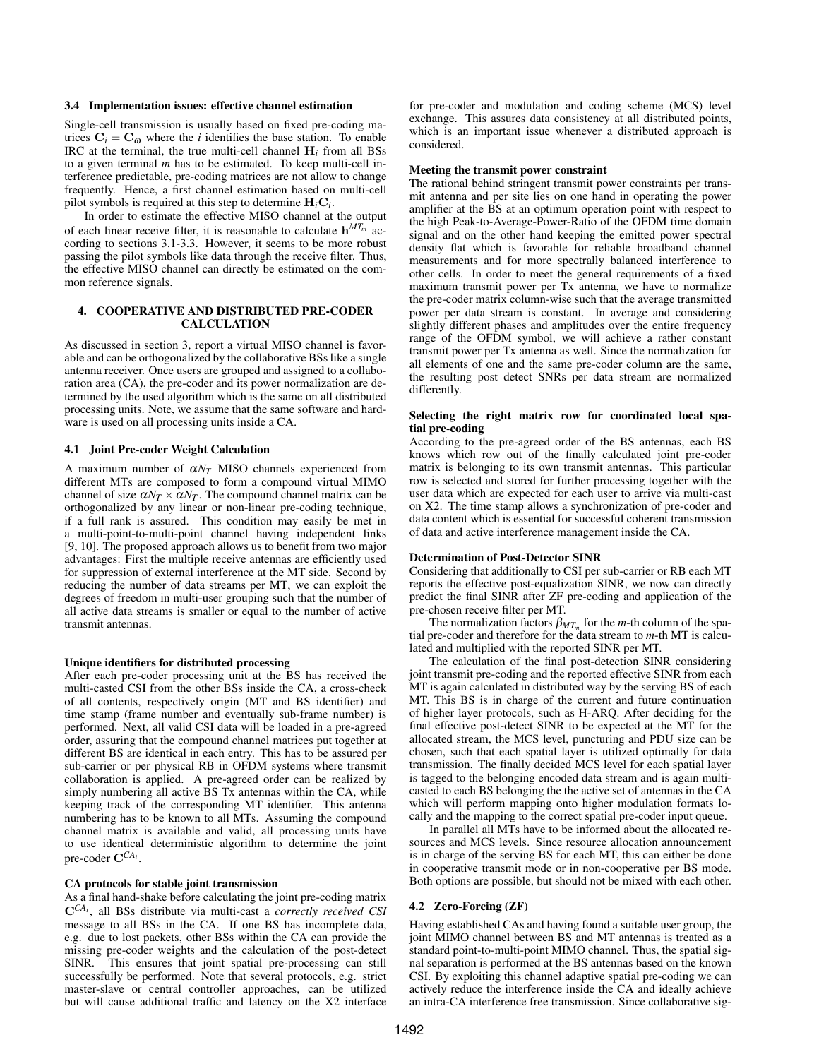### 3.4 Implementation issues: effective channel estimation

Single-cell transmission is usually based on fixed pre-coding matrices  $C_i = C_{\omega}$  where the *i* identifies the base station. To enable IRC at the terminal, the true multi-cell channel  $H_i$  from all BSs to a given terminal *m* has to be estimated. To keep multi-cell interference predictable, pre-coding matrices are not allow to change frequently. Hence, a first channel estimation based on multi-cell pilot symbols is required at this step to determine H*i*C*<sup>i</sup>* .

In order to estimate the effective MISO channel at the output of each linear receive filter, it is reasonable to calculate h *MT<sup>m</sup>* according to sections 3.1-3.3. However, it seems to be more robust passing the pilot symbols like data through the receive filter. Thus, the effective MISO channel can directly be estimated on the common reference signals.

# 4. COOPERATIVE AND DISTRIBUTED PRE-CODER CALCULATION

As discussed in section 3, report a virtual MISO channel is favorable and can be orthogonalized by the collaborative BSs like a single antenna receiver. Once users are grouped and assigned to a collaboration area (CA), the pre-coder and its power normalization are determined by the used algorithm which is the same on all distributed processing units. Note, we assume that the same software and hardware is used on all processing units inside a CA.

# 4.1 Joint Pre-coder Weight Calculation

A maximum number of  $\alpha N_T$  MISO channels experienced from different MTs are composed to form a compound virtual MIMO channel of size  $\alpha N_T \times \alpha N_T$ . The compound channel matrix can be orthogonalized by any linear or non-linear pre-coding technique, if a full rank is assured. This condition may easily be met in a multi-point-to-multi-point channel having independent links [9, 10]. The proposed approach allows us to benefit from two major advantages: First the multiple receive antennas are efficiently used for suppression of external interference at the MT side. Second by reducing the number of data streams per MT, we can exploit the degrees of freedom in multi-user grouping such that the number of all active data streams is smaller or equal to the number of active transmit antennas.

### Unique identifiers for distributed processing

After each pre-coder processing unit at the BS has received the multi-casted CSI from the other BSs inside the CA, a cross-check of all contents, respectively origin (MT and BS identifier) and time stamp (frame number and eventually sub-frame number) is performed. Next, all valid CSI data will be loaded in a pre-agreed order, assuring that the compound channel matrices put together at different BS are identical in each entry. This has to be assured per sub-carrier or per physical RB in OFDM systems where transmit collaboration is applied. A pre-agreed order can be realized by simply numbering all active BS Tx antennas within the CA, while keeping track of the corresponding MT identifier. This antenna numbering has to be known to all MTs. Assuming the compound channel matrix is available and valid, all processing units have to use identical deterministic algorithm to determine the joint pre-coder C*CA<sup>i</sup>* .

### CA protocols for stable joint transmission

As a final hand-shake before calculating the joint pre-coding matrix C*CA<sup>i</sup>* , all BSs distribute via multi-cast a *correctly received CSI* message to all BSs in the CA. If one BS has incomplete data, e.g. due to lost packets, other BSs within the CA can provide the missing pre-coder weights and the calculation of the post-detect SINR. This ensures that joint spatial pre-processing can still successfully be performed. Note that several protocols, e.g. strict master-slave or central controller approaches, can be utilized but will cause additional traffic and latency on the X2 interface for pre-coder and modulation and coding scheme (MCS) level exchange. This assures data consistency at all distributed points, which is an important issue whenever a distributed approach is considered.

### Meeting the transmit power constraint

The rational behind stringent transmit power constraints per transmit antenna and per site lies on one hand in operating the power amplifier at the BS at an optimum operation point with respect to the high Peak-to-Average-Power-Ratio of the OFDM time domain signal and on the other hand keeping the emitted power spectral density flat which is favorable for reliable broadband channel measurements and for more spectrally balanced interference to other cells. In order to meet the general requirements of a fixed maximum transmit power per Tx antenna, we have to normalize the pre-coder matrix column-wise such that the average transmitted power per data stream is constant. In average and considering slightly different phases and amplitudes over the entire frequency range of the OFDM symbol, we will achieve a rather constant transmit power per Tx antenna as well. Since the normalization for all elements of one and the same pre-coder column are the same, the resulting post detect SNRs per data stream are normalized differently.

### Selecting the right matrix row for coordinated local spatial pre-coding

According to the pre-agreed order of the BS antennas, each BS knows which row out of the finally calculated joint pre-coder matrix is belonging to its own transmit antennas. This particular row is selected and stored for further processing together with the user data which are expected for each user to arrive via multi-cast on X2. The time stamp allows a synchronization of pre-coder and data content which is essential for successful coherent transmission of data and active interference management inside the CA.

### Determination of Post-Detector SINR

Considering that additionally to CSI per sub-carrier or RB each MT reports the effective post-equalization SINR, we now can directly predict the final SINR after ZF pre-coding and application of the pre-chosen receive filter per MT.

The normalization factors  $\beta_{MT_m}$  for the *m*-th column of the spatial pre-coder and therefore for the data stream to *m*-th MT is calculated and multiplied with the reported SINR per MT.

The calculation of the final post-detection SINR considering joint transmit pre-coding and the reported effective SINR from each MT is again calculated in distributed way by the serving BS of each MT. This BS is in charge of the current and future continuation of higher layer protocols, such as H-ARQ. After deciding for the final effective post-detect SINR to be expected at the MT for the allocated stream, the MCS level, puncturing and PDU size can be chosen, such that each spatial layer is utilized optimally for data transmission. The finally decided MCS level for each spatial layer is tagged to the belonging encoded data stream and is again multicasted to each BS belonging the the active set of antennas in the CA which will perform mapping onto higher modulation formats locally and the mapping to the correct spatial pre-coder input queue.

In parallel all MTs have to be informed about the allocated resources and MCS levels. Since resource allocation announcement is in charge of the serving BS for each MT, this can either be done in cooperative transmit mode or in non-cooperative per BS mode. Both options are possible, but should not be mixed with each other.

### 4.2 Zero-Forcing (ZF)

Having established CAs and having found a suitable user group, the joint MIMO channel between BS and MT antennas is treated as a standard point-to-multi-point MIMO channel. Thus, the spatial signal separation is performed at the BS antennas based on the known CSI. By exploiting this channel adaptive spatial pre-coding we can actively reduce the interference inside the CA and ideally achieve an intra-CA interference free transmission. Since collaborative sig-